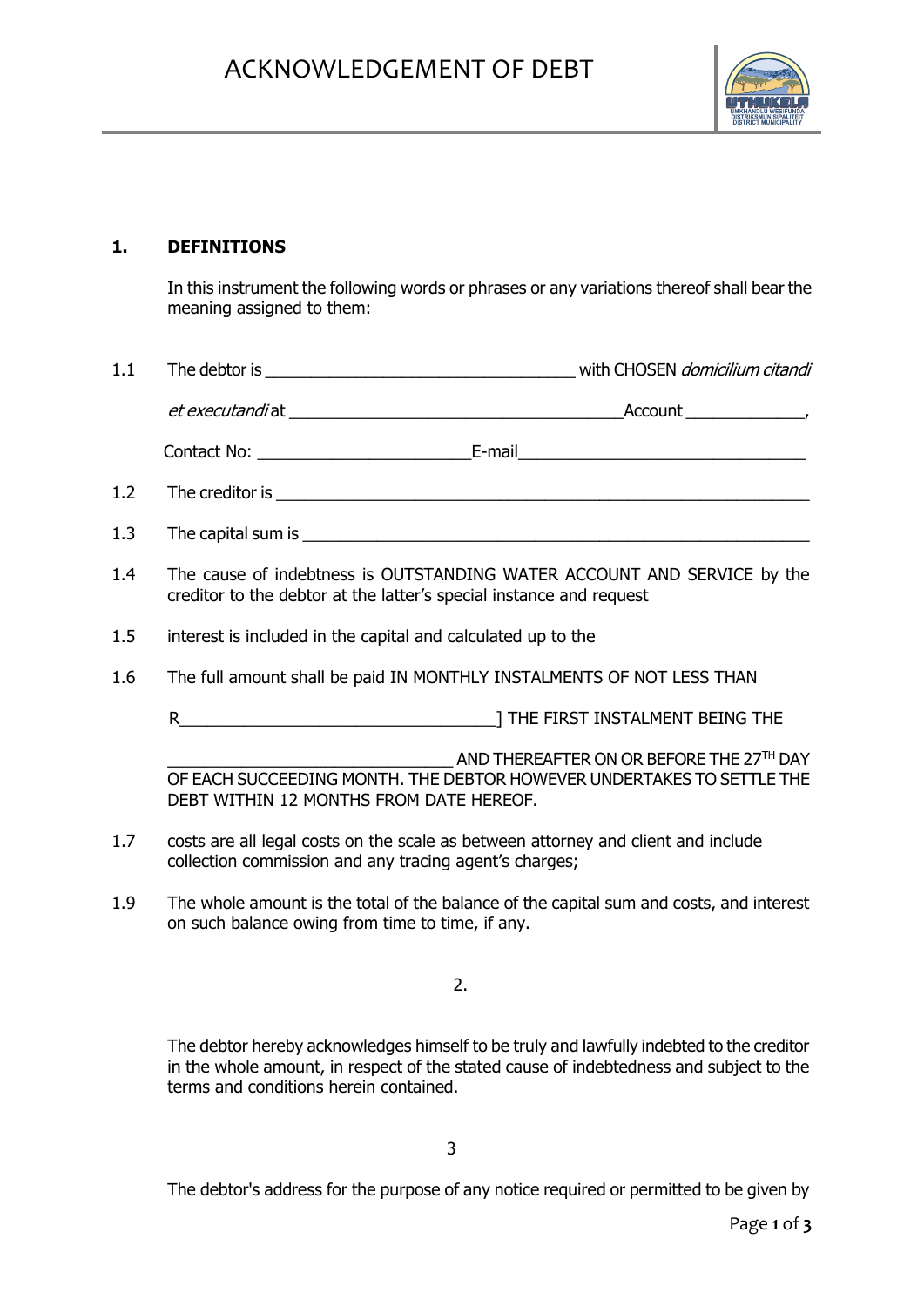

## **1. DEFINITIONS**

In this instrument the following words or phrases or any variations thereof shall bear the meaning assigned to them:

- 1.1 The debtor is \_\_\_\_\_\_\_\_\_\_\_\_\_\_\_\_\_\_\_\_\_\_\_\_\_\_\_\_\_\_\_\_\_\_ with CHOSEN domicilium citandi et executandi at the count of the count of the count of the count of the count of the count of the count of the count of the count of the count of the count of the count of the count of the count of the count of the count Contact No: E-mail 1.2 The creditor is \_\_\_\_\_\_\_\_\_\_\_\_\_\_\_\_\_\_\_\_\_\_\_\_\_\_\_\_\_\_\_\_\_\_\_\_\_\_\_\_\_\_\_\_\_\_\_\_\_\_\_\_\_\_\_\_\_\_ 1.3 The capital sum is
- 1.4 The cause of indebtness is OUTSTANDING WATER ACCOUNT AND SERVICE by the creditor to the debtor at the latter's special instance and request
- 1.5 interest is included in the capital and calculated up to the
- 1.6 The full amount shall be paid IN MONTHLY INSTALMENTS OF NOT LESS THAN
	- R<br>
	R
	THE FIRST INSTALMENT BEING THE

AND THEREAFTER ON OR BEFORE THE 27TH DAY OF EACH SUCCEEDING MONTH. THE DEBTOR HOWEVER UNDERTAKES TO SETTLE THE DEBT WITHIN 12 MONTHS FROM DATE HEREOF.

- 1.7 costs are all legal costs on the scale as between attorney and client and include collection commission and any tracing agent's charges;
- 1.9 The whole amount is the total of the balance of the capital sum and costs, and interest on such balance owing from time to time, if any.

2.

The debtor hereby acknowledges himself to be truly and lawfully indebted to the creditor in the whole amount, in respect of the stated cause of indebtedness and subject to the terms and conditions herein contained.

The debtor's address for the purpose of any notice required or permitted to be given by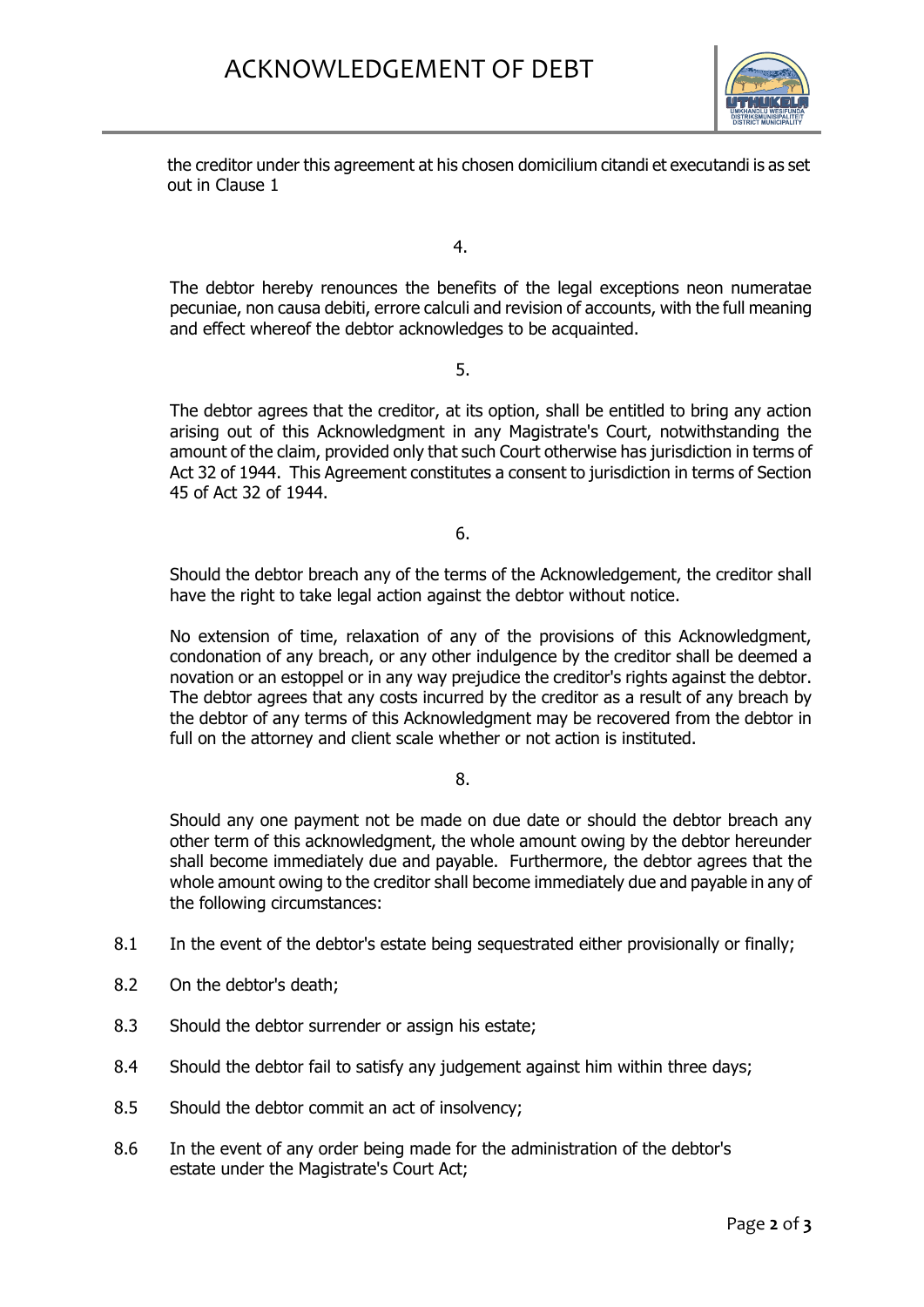

the creditor under this agreement at his chosen domicilium citandi et executandi is as set out in Clause 1

4.

The debtor hereby renounces the benefits of the legal exceptions neon numeratae pecuniae, non causa debiti, errore calculi and revision of accounts, with the full meaning and effect whereof the debtor acknowledges to be acquainted.

5.

The debtor agrees that the creditor, at its option, shall be entitled to bring any action arising out of this Acknowledgment in any Magistrate's Court, notwithstanding the amount of the claim, provided only that such Court otherwise has jurisdiction in terms of Act 32 of 1944. This Agreement constitutes a consent to jurisdiction in terms of Section 45 of Act 32 of 1944.

6.

Should the debtor breach any of the terms of the Acknowledgement, the creditor shall have the right to take legal action against the debtor without notice.

No extension of time, relaxation of any of the provisions of this Acknowledgment, condonation of any breach, or any other indulgence by the creditor shall be deemed a novation or an estoppel or in any way prejudice the creditor's rights against the debtor. The debtor agrees that any costs incurred by the creditor as a result of any breach by the debtor of any terms of this Acknowledgment may be recovered from the debtor in full on the attorney and client scale whether or not action is instituted.

8.

Should any one payment not be made on due date or should the debtor breach any other term of this acknowledgment, the whole amount owing by the debtor hereunder shall become immediately due and payable. Furthermore, the debtor agrees that the whole amount owing to the creditor shall become immediately due and payable in any of the following circumstances:

- 8.1 In the event of the debtor's estate being sequestrated either provisionally or finally;
- 8.2 On the debtor's death;
- 8.3 Should the debtor surrender or assign his estate;
- 8.4 Should the debtor fail to satisfy any judgement against him within three days;
- 8.5 Should the debtor commit an act of insolvency;
- 8.6 In the event of any order being made for the administration of the debtor's estate under the Magistrate's Court Act;